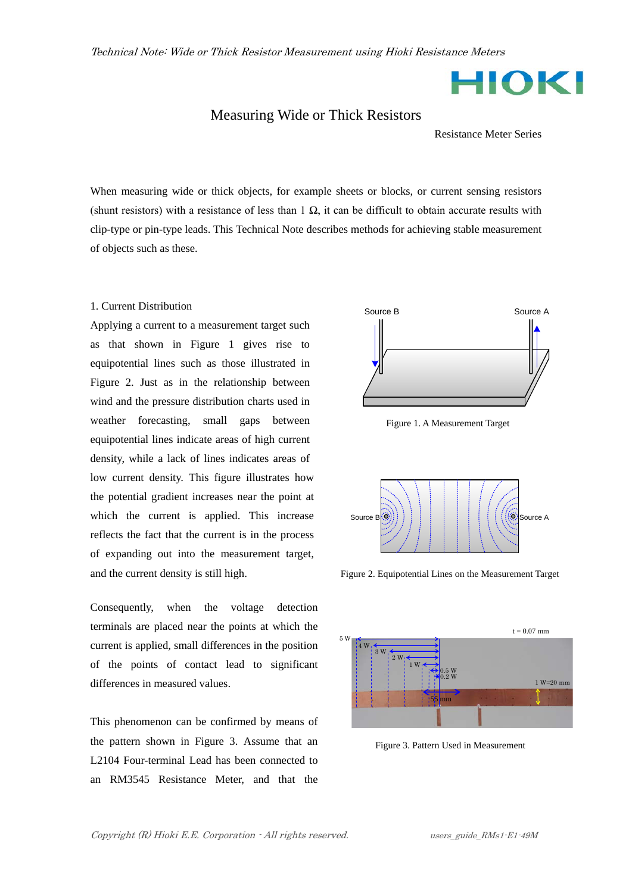HIOKI

## Measuring Wide or Thick Resistors

Resistance Meter Series

When measuring wide or thick objects, for example sheets or blocks, or current sensing resistors (shunt resistors) with a resistance of less than  $1 \Omega$ , it can be difficult to obtain accurate results with clip-type or pin-type leads. This Technical Note describes methods for achieving stable measurement of objects such as these.

## 1. Current Distribution

Applying a current to a measurement target such as that shown in Figure 1 gives rise to equipotential lines such as those illustrated in Figure 2. Just as in the relationship between wind and the pressure distribution charts used in weather forecasting, small gaps between equipotential lines indicate areas of high current density, while a lack of lines indicates areas of low current density. This figure illustrates how the potential gradient increases near the point at which the current is applied. This increase reflects the fact that the current is in the process of expanding out into the measurement target, and the current density is still high.

Consequently, when the voltage detection terminals are placed near the points at which the current is applied, small differences in the position of the points of contact lead to significant differences in measured values.

This phenomenon can be confirmed by means of the pattern shown in Figure 3. Assume that an L2104 Four-terminal Lead has been connected to an RM3545 Resistance Meter, and that the



Figure 1. A Measurement Target



Figure 2. Equipotential Lines on the Measurement Target



Figure 3. Pattern Used in Measurement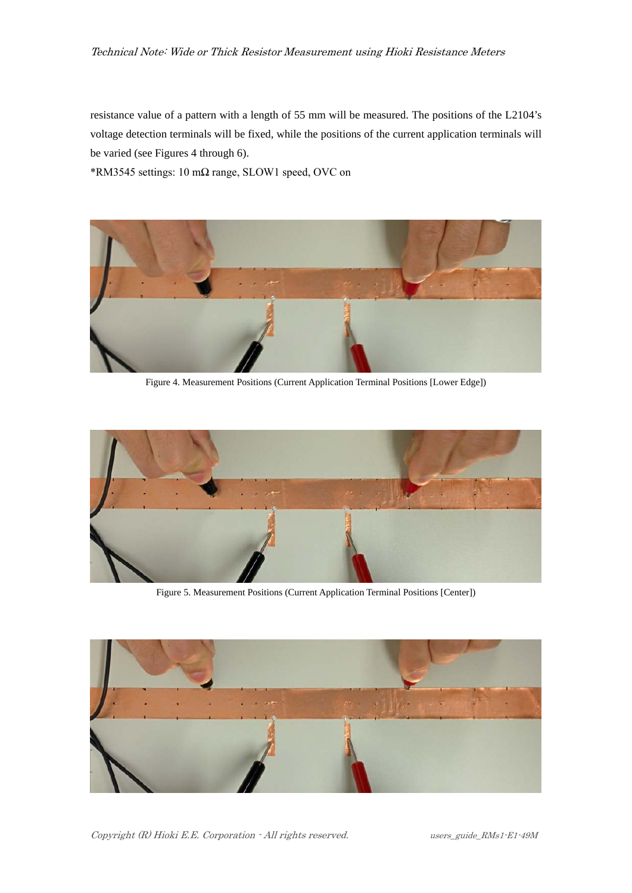resistance value of a pattern with a length of 55 mm will be measured. The positions of the L2104's voltage detection terminals will be fixed, while the positions of the current application terminals will be varied (see Figures 4 through 6).

\*RM3545 settings: 10 m $\Omega$  range, SLOW1 speed, OVC on



Figure 4. Measurement Positions (Current Application Terminal Positions [Lower Edge])



Figure 5. Measurement Positions (Current Application Terminal Positions [Center])



Copyright (R) Hioki E.E. Corporation - All rights reserved. users\_guide\_RMs1-E1-49M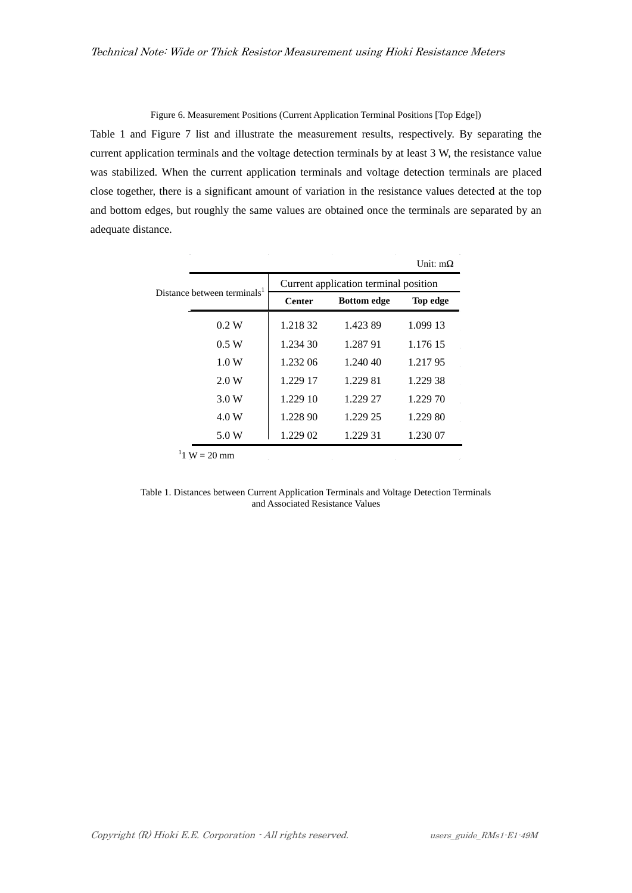Figure 6. Measurement Positions (Current Application Terminal Positions [Top Edge])

Table 1 and Figure 7 list and illustrate the measurement results, respectively. By separating the current application terminals and the voltage detection terminals by at least 3 W, the resistance value was stabilized. When the current application terminals and voltage detection terminals are placed close together, there is a significant amount of variation in the resistance values detected at the top and bottom edges, but roughly the same values are obtained once the terminals are separated by an adequate distance.

| Distance between terminals <sup>1</sup> | Current application terminal position |                    |          |
|-----------------------------------------|---------------------------------------|--------------------|----------|
|                                         | <b>Center</b>                         | <b>Bottom</b> edge | Top edge |
| 0.2 W                                   | 1.218.32                              | 1.423.89           | 1.099 13 |
| 0.5 W                                   | 1.234 30                              | 1.287 91           | 1.176.15 |
| 1.0 W                                   | 1.232.06                              | 1.240.40           | 1.21795  |
| 2.0 W                                   | 1.229 17                              | 1.229 81           | 1.229 38 |
| 3.0 W                                   | 1.229 10                              | 1.229 27           | 1.229 70 |
| 4.0 W                                   | 1.228 90                              | 1.229 25           | 1.229 80 |
| 5.0 W                                   | 1.229 02                              | 1.229 31           | 1.230 07 |

Table 1. Distances between Current Application Terminals and Voltage Detection Terminals and Associated Resistance Values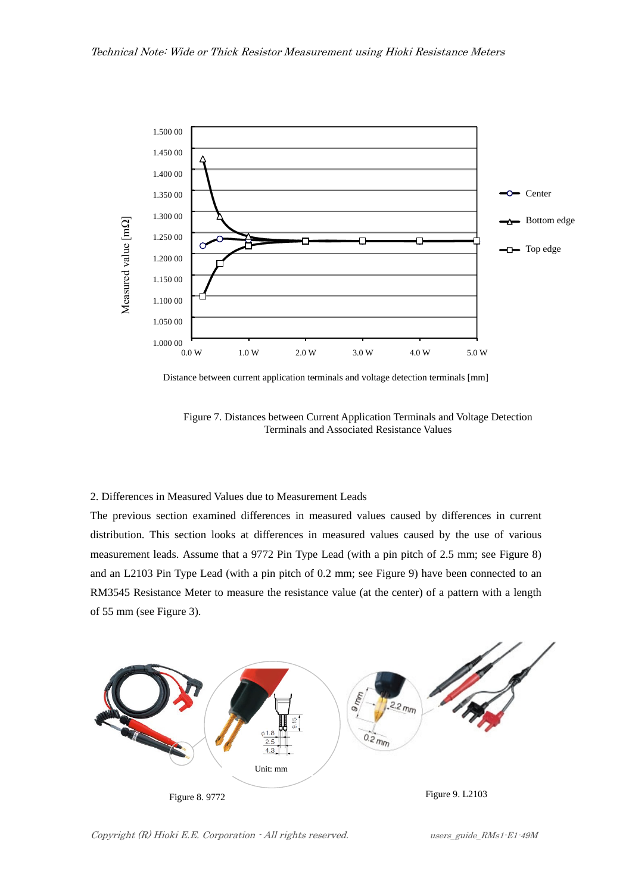

Distance between current application terminals and voltage detection terminals [mm] **-**

Figure 7. Distances between Current Application Terminals and Voltage Detection Terminals and Associated Resistance Values

## 2. Differences in Measured Values due to Measurement Leads

The previous section examined differences in measured values caused by differences in current distribution. This section looks at differences in measured values caused by the use of various measurement leads. Assume that a 9772 Pin Type Lead (with a pin pitch of 2.5 mm; see Figure 8) and an L2103 Pin Type Lead (with a pin pitch of 0.2 mm; see Figure 9) have been connected to an RM3545 Resistance Meter to measure the resistance value (at the center) of a pattern with a length of 55 mm (see Figure 3).



Copyright (R) Hioki E.E. Corporation - All rights reserved. users\_guide\_RMs1-E1-49M